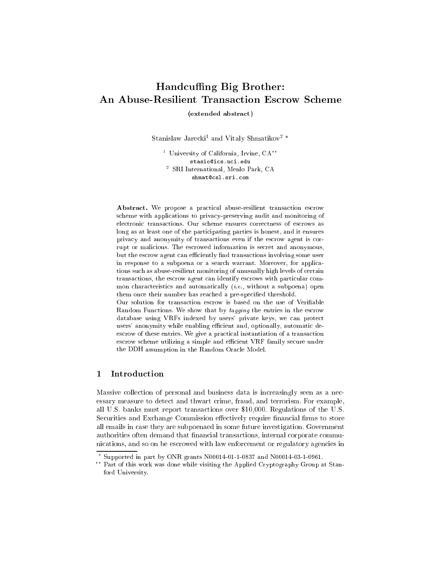# Handcuffing Big Brother: An Abuse-Resilient Transa
tion Es
row S
heme

(extended abstra
t)

Stanislaw Jarecki<sup>-</sup> and Vitaly Shmatikov<sup>-</sup> "

 $^\circ$  University of California, Irvine, CA  $^\circ$ stasio@ics.uci.edu <sup>2</sup> SRI International, Menlo Park, CA shmat@csl.sri.com

Abstract. We propose a practical abuse-resilient transaction escrow scheme with applications to privacy-preserving audit and monitoring of ele
troni transa
tions. Our s
heme ensures orre
tness of es
rows as long as at least one of the participating parties is honest, and it ensures privacy and anonymity of transactions even if the escrow agent is corrupt or malicious. The escrowed information is secret and anonymous, but the escrow agent can efficiently find transactions involving some user in response to a subpoena or a search warrant. Moreover, for applications su
h as abuse-resilient monitoring of unusually high levels of ertain transactions, the escrow agent can identify escrows with particular common characteristics and automatically *(i.e.*, without a subpoena) open them once their number has reached a pre-specified threshold.

Our solution for transaction escrow is based on the use of Verifiable Random Functions. We show that by tagging the entries in the escrow database using VRFs indexed by users' private keys, we can protect users' anonymity while enabling efficient and, optionally, automatic deescrow of these entries. We give a practical instantiation of a transaction escrow scheme utilizing a simple and efficient VRF family secure under the DDH assumption in the Random Ora
le Model.

# 1 Introdu
tion

Massive collection of personal and business data is increasingly seen as a necessary measure to detect and thwart crime, fraud, and terrorism. For example, all U.S. banks must report transa
tions over \$10,000. Regulations of the U.S. Securities and Exchange Commission effectively require financial firms to store all emails in ase they are subpoenaed in some future investigation. Government authorities often demand that financial transactions, internal corporate communi
ations, and so on be es
rowed with law enfor
ement or regulatory agen
ies in

Supported in part by ONR grants N00014-01-1-0837 and N00014-03-1-0961.

<sup>??</sup> Part of this work was done while visiting the Applied Cryptography Group at Stanford University.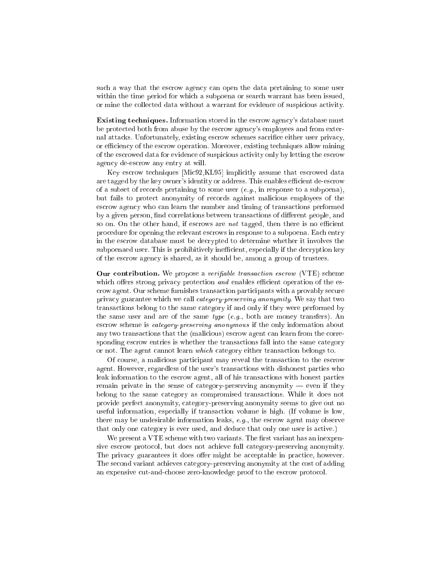such a way that the escrow agency can open the data pertaining to some user within the time period for which a subpoena or search warrant has been issued, or mine the collected data without a warrant for evidence of suspicious activity.

**Existing techniques.** Information stored in the escrow agency's database must be protected both from abuse by the escrow agency's employees and from external attacks. Unfortunately, existing escrow schemes sacrifice either user privacy, or efficiency of the escrow operation. Moreover, existing techniques allow mining of the es
rowed data for eviden
e of suspi
ious a
tivity only by letting the es
row agen
y de-es
row any entry at will.

Key escrow techniques [Mic92,KL95] implicitly assume that escrowed data are tagged by the key owner's identity or address. This enables efficient de-escrow of a subset of re
ords pertaining to some user (e.g., in response to a subpoena), but fails to prote
t anonymity of re
ords against mali
ious employees of the escrow agency who can learn the number and timing of transactions performed by a given person, find correlations between transactions of different people, and so on. On the other hand, if escrows are *not* tagged, then there is no efficient procedure for opening the relevant escrows in response to a subpoena. Each entry in the es
row database must be de
rypted to determine whether it involves the subpoenaed user. This is prohibitively inefficient, especially if the decryption key of the es
row agen
y is shared, as it should be, among a group of trustees.

**Our contribution.** We propose a *verifiable transaction escrow* (VTE) scheme which offers strong privacy protection and enables efficient operation of the esrow agent. Our s
heme furnishes transa
tion parti
ipants with a provably se
ure privacy guarantee which we call *category-preserving anonymity*. We say that two transa
tions belong to the same ategory if and only if they were performed by the same user and are of the same type (e.g., both are money transfers). An escrow scheme is *category-preserving anonymous* if the only information about any two transactions that the (malicious) escrow agent can learn from the corresponding escrow entries is whether the transactions fall into the same category or not. The agent cannot learn which category either transaction belongs to.

Of ourse, a mali
ious parti
ipant may reveal the transa
tion to the es
row agent. However, regardless of the user's transa
tions with dishonest parties who leak information to the escrow agent, all of his transactions with honest parties remain private in the sense of category-preserving anonymity  $-$  even if they belong to the same ategory as ompromised transa
tions. While it does not provide perfe
t anonymity, ategory-preserving anonymity seems to give out no useful information, espe
ially if transa
tion volume is high. (If volume is low, there may be undesirable information leaks, e.g., the escrow agent may observe that only one category is ever used, and deduce that only one user is active.)

We present a VTE scheme with two variants. The first variant has an inexpensive es
row proto
ol, but does not a
hieve full ategory-preserving anonymity. The privacy guarantees it does offer might be acceptable in practice, however. The second variant achieves category-preserving anonymity at the cost of adding an expensive cut-and-choose zero-knowledge proof to the escrow protocol.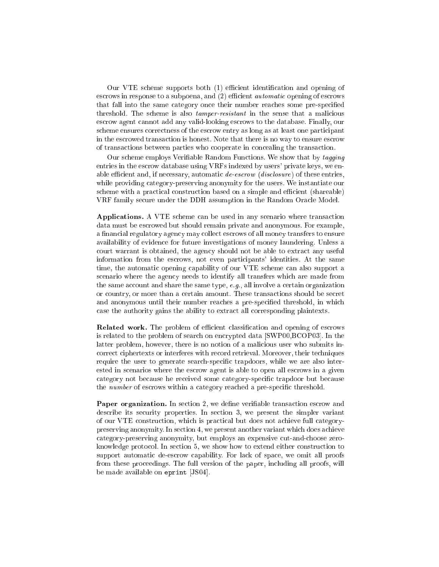Our VTE scheme supports both (1) efficient identification and opening of escrows in response to a subpoena, and (2) efficient *automatic* opening of escrows that fall into the same category once their number reaches some pre-specified threshold. The scheme is also *tamper-resistant* in the sense that a malicious es
row agent annot add any valid-looking es
rows to the database. Finally, our scheme ensures correctness of the escrow entry as long as at least one participant in the es
rowed transa
tion is honest. Note that there is no way to ensure es
row of transa
tions between parties who ooperate in on
ealing the transa
tion.

Our scheme employs Verifiable Random Functions. We show that by tagging entries in the escrow database using VRFs indexed by users' private keys, we enable efficient and, if necessary, automatic de-escrow (disclosure) of these entries, while providing ategory-preserving anonymity for the users. We instantiate our scheme with a practical construction based on a simple and efficient (shareable) VRF family se
ure under the DDH assumption in the Random Ora
le Model.

Applications. A VTE scheme can be used in any scenario where transaction data must be es
rowed but should remain private and anonymous. For example, a financial regulatory agency may collect escrows of all money transfers to ensure availability of eviden
e for future investigations of money laundering. Unless a ourt warrant is obtained, the agen
y should not be able to extra
t any useful information from the escrows, not even participants' identities. At the same time, the automati opening apability of our VTE s
heme an also support a scenario where the agency needs to identify all transfers which are made from the same account and share the same type,  $e.g.,$  all involve a certain organization or country, or more than a certain amount. These transactions should be secret and anonymous until their number reaches a pre-specified threshold, in which case the authority gains the ability to extract all corresponding plaintexts.

Related work. The problem of efficient classification and opening of escrows is related to the problem of search on encrypted data [SWP00,BCOP03]. In the latter problem, however, there is no notion of a mali
ious user who submits in orre
t iphertexts or interferes with re
ord retrieval. Moreover, their te
hniques require the user to generate search-specific trapdoors, while we are also interested in s
enarios where the es
row agent is able to open all es
rows in a given category not because he received some category-specific trapdoor but because the *number* of escrows within a category reached a pre-specific threshold.

**Paper organization.** In section 2, we define verifiable transaction escrow and describe its security properties. In section 3, we present the simpler variant of our VTE onstru
tion, whi
h is pra
ti
al but does not a
hieve full ategorypreserving anonymity. In se
tion 4, we present another variant whi
h does a
hieve ategory-preserving anonymity, but employs an expensive ut-andhoose zeroknowledge protocol. In section 5, we show how to extend either construction to support automatic de-escrow capability. For lack of space, we omit all proofs from these proceedings. The full version of the paper, including all proofs, will be made available on  $e$ print  $[JS04]$ .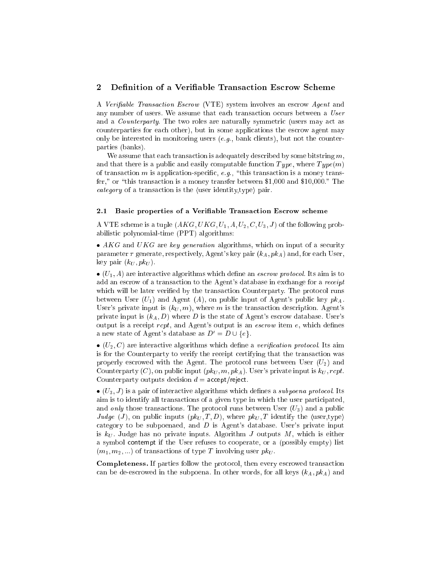# 2 Definition of a Verifiable Transaction Escrow Scheme

A Verifiable Transaction Escrow (VTE) system involves an escrow Agent and any number of users. We assume that each transaction occurs between a User and a *Counterparty*. The two roles are naturally symmetric (users may act as ounterparties for ea
h other), but in some appli
ations the es
row agent may only be interested in monitoring users  $(e.g.,$  bank clients), but not the counterparties (banks).

We assume that each transaction is adequately described by some bitstring  $m$ . and that there is a public and easily computable function  $Type$ , where  $Type(m)$ of transaction m is application-specific, e.g., "this transaction is a money transfer," or "this transaction is a money transfer between \$1,000 and \$10,000." The  $category$  of a transaction is the (user identity,type) pair.

#### 2.1 Basic properties of a Verifiable Transaction Escrow scheme

A VTE scheme is a tuple  $(AKG,UKG, U_1, A, U_2, C, U_3, J)$  of the following probabilisti polynomial-time (PPT) algorithms:

and a month of a security generation algorithms, which are separated as security parameter  $\tau$  generate, respectively, Agent's key pair  $(k_A, pk_A)$  and, for each User, key pair  $(k_U, pk_U)$ .

 $\mathcal{N} = \pm 1$  are interactions which is to an estimate and interactions which is to an estimate of the stress of the stress of the stress of the stress of the stress of the stress of the stress of the stress of the stress add an escrow of a transaction to the Agent's database in exchange for a *receipt* which will be later verified by the transaction Counterparty. The protocol runs between User  $(U_1)$  and Agent  $(A)$ , on public input of Agent's public key  $pk_A$ . User's private input is  $(k_U, m)$ , where m is the transaction description. Agent's private input is  $(k_A, D)$  where D is the state of Agent's escrow database. User's output is a receipt  $rcpt$ , and Agent's output is an *escrow* item  $e$ , which defines a new state of Agent's database as  $D' = D \cup \{e\}.$ 

 (U2; C) are intera
tive algorithms whi
h dene a veri
ation proto
ol. Its aim is for the Counterparty to verify the receipt certifying that the transaction was properly escrowed with the Agent. The protocol runs between User  $(U_2)$  and Counterparty (C), on public input  $(pk_U, m, pk_A)$ . User's private input is  $k_U$ , rcpt. Counterparty outputs decision  $d = \text{accept/reject.}$ 

 (U3; J ) is a pair of intera
tive algorithms whi
h denes a subpoena proto
ol. Its aim is to identify all transactions of a given type in which the user participated, and only those transactions. The protocol runs between User  $(U_3)$  and a public Judge (J), on public inputs  $(pk_U, T, D)$ , where  $pk_U, T$  identify the (user,type) category to be subpoenaed, and  $D$  is Agent's database. User's private input is  $k_U$ . Judge has no private inputs. Algorithm J outputs M, which is either a symbol ontempt if the User refuses to ooperate, or <sup>a</sup> (possibly empty) list  $(m_1, m_2, ...)$  of transactions of type T involving user  $pk_U$ .

Completeness. If parties follow the protocol, then every escrowed transaction can be de-escrowed in the subpoena. In other words, for all keys  $(k_A, pk_A)$  and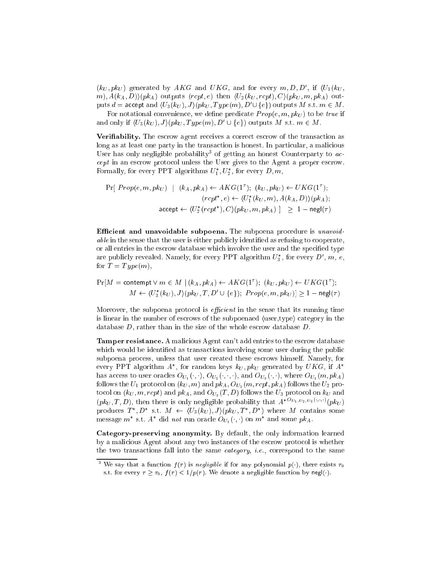$(\kappa_U, \mathit{p}\kappa_U)$  generated by AKG and UKG, and for every  $m, D, D$ , if  $(U_1(\kappa_U,$ m),  $A(k_A, D)$  ( $pk_A$ ) outputs (rcpt, e) then  $\langle U_2(k_U, rcpt), C \rangle (pk_U, m, pk_A)$  outputs  $a = \text{accept}$  and  $\langle \bar{U}_3(\kappa_U), J \rangle(\bar{p}\kappa_U, I)$   $ype(m), D \cup \{e\}$  outputs  $M$  s.t.  $m \in M$ .

For notational convenience, we define predicate  $Prop(e, m, pk<sub>U</sub>)$  to be true if and only if  $\{U_3(k_U), J\}$   $\phi(k_U, I \text{ } ype(m), D_1 \cup \{e\})$  outputs M s.t.  $m \in M$ .

Verifiability. The escrow agent receives a correct escrow of the transaction as long as at least one party in the transaction is honest. In particular, a malicious User has only negligible probability of getting an honest Counterparty to  $ac$ cept in an escrow protocol unless the User gives to the Agent a proper escrow. Formally, for every PPT algorithms  $U_1, U_2$ , for every  $D, m$ ,

$$
\Pr[\, Prop(e, m, pk_U) \mid (k_A, pk_A) \leftarrow AKG(1^r); \ (k_U, pk_U) \leftarrow UKG(1^r);
$$
\n
$$
(rcpt^*, e) \leftarrow \langle U_1^*(k_U, m), A(k_A, D) \rangle (pk_A);
$$
\n
$$
\text{accept} \leftarrow \langle U_2^*(rcpt^*), C \rangle (pk_U, m, pk_A) \mid \geq 1 - \text{negl}(\tau)
$$

Efficient and unavoidable subpoena. The subpoena procedure is unavoidable in the sense that the user is either publicly identified as refusing to cooperate, or all entries in the escrow database which involve the user and the specified type are publicly revealed. Namely, for every PPT algorithm  $U_3$  , for every  $D$  ,  $m$ ,  $e$ , for  $T = Type(m)$ ,

$$
\Pr[M = \text{content} \lor m \in M \mid (k_A, pk_A) \leftarrow AKG(1^{\tau}); \ (k_U, pk_U) \leftarrow UKG(1^{\tau});
$$

$$
M \leftarrow \langle U_3^*(k_U), J \rangle (pk_U, T, D' \cup \{e\}); \ Prop(e, m, pk_U)] \ge 1 - negl(\tau)
$$

Moreover, the subpoena protocol is *efficient* in the sense that its running time is linear in the number of escrows of the subpoenaed  $\langle$ user,type $\rangle$  category in the database D, rather than in the size of the whole escrow database D.

Tamper resistance. A malicious Agent can't add entries to the escrow database which would be identified as transactions involving some user during the public subpoena process, unless that user created these escrows himself. Namely, for every PPT algorithm  $A$  , for random keys  $\kappa_U, \bar{p}\kappa_U$  generated by  $U\boldsymbol{\Lambda} G$ , if  $A$ has access to user oracles  $O_{U_1}(\cdot, \cdot)$ ,  $O_{U_2}(\cdot, \cdot, \cdot)$ , and  $O_{U_3}(\cdot, \cdot)$ , where  $O_{U_1}(m, pk_A)$ follows the  $U_1$  protocol on  $(k_U, m)$  and  $pk_A$ ,  $O_{U_2}(m, rcpt, pk_A)$  follows the  $U_2$  proto<br>col on  $(k_U, m, rcpt)$  and  $pk_A$  , and<br>  $\mathcal{O}_{U_3}(T, D)$  follows the  $U_3$  protocol on<br>  $k_U$  and  $(p\kappa_U, 1, D)$ , then there is only negligible probability that  $A = \frac{1}{2} \sum_{i=2}^{U} \sum_{i=3}^{U} \binom{W}{i}$ produces  $I$ ,  $D$  s.t.  $M \leftarrow (U_3(KU), J)$  ( $pkU, I$ ,  $D$ ) where M contains some message m s.t. A did not run oracle  $\sigma_{U_1}(\cdot, \cdot)$  on m and some  $p\kappa_A$ .

Category-preserving anonymity. By default, the only information learned by a mali
ious Agent about any two instan
es of the es
row proto
ol is whether the two transactions fall into the same *category*, *i.e.*, correspond to the same

We say that a function  $f(\tau)$  is negligible if for any polynomial  $p(\cdot)$ , there exists  $\tau_0$ s.t. for every  $\tau \geq \tau_0$ ,  $f(\tau) < 1/p(\tau)$ . We denote a negligible function by negl(.).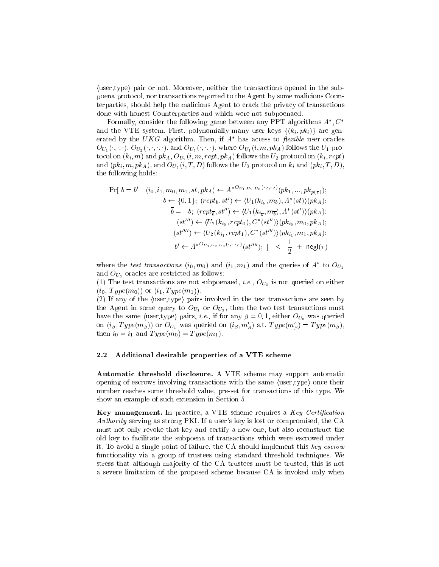$\langle$ user,type $\rangle$  pair or not. Moreover, neither the transactions opened in the subpoena proto
ol, nor transa
tions reported to the Agent by some mali
ious Counterparties, should help the malicious Agent to crack the privacy of transactions done with honest Counterparties and whi
h were not subpoenaed.

Formally, consider the following game between any PPT algorithms  $A_\perp, C_\perp$ and the VTE system. First, polynomially many user keys  $\{(k_i, pk_i)\}\$  are generated by the  $\overline{U}K$ G algorithm. Then, if  $A$  -has access to *periole* user oracles  $O_{U_1}(\cdot,\cdot,\cdot), O_{U_2}(\cdot,\cdot,\cdot,\cdot)$ , and  $O_{U_3}(\cdot,\cdot,\cdot)$ , where  $O_{U_1}(i,m,pk_A)$  follows the  $U_1$  protocol on  $(k_i, m)$  and  $pk_A$ ,  $O_{U_2}(i, m, rct, pk_A)$  follows the  $U_2$  protocol on  $(k_i, rct)$ and  $(pk_i, m, pk_A)$ , and  $O_{U_3}(i, T, D)$  follows the  $U_3$  protocol on  $k_i$  and  $(pk_i, T, D)$ , the following holds:

$$
\Pr[ b = b' \mid (i_0, i_1, m_0, m_1, st, pk_A) \leftarrow A^{*O_{U_1, U_2, U_3}(\cdot, \cdot, \cdot, \cdot)}(pk_1, ..., pk_{p(\tau)}); \nb \leftarrow \{0, 1\}; (rept_b, st') \leftarrow \langle U_1(k_{i_b}, m_b), A^*(st) \rangle (pk_A); \overline{b} = \neg b; (rept_{\overline{b}}, st'') \leftarrow \langle U_1(k_{i_{\overline{b}}}, m_{\overline{b}}), A^*(st') \rangle (pk_A); \n(st''') \leftarrow \langle U_2(k_{i_0}, rept_0), C^*(st'') \rangle (pk_{i_0}, m_0, pk_A); \n(st''') \leftarrow \langle U_2(k_{i_1}, rept_1), C^*(st''') \rangle (pk_{i_1}, m_1, pk_A); \nb' \leftarrow A^{*O_{U_1, U_2, U_3}(\cdot, \cdot, \cdot, \cdot)}(st'''); \; ] \leq \frac{1}{2} + neg(\tau)
$$

where the lest transactions  $(i_0, m_0)$  and  $(i_1, m_1)$  and the queries of  $A$  to  $OU_1$ and  $O_{U_3}$  oracles are restricted as follows:

(1) The test transactions are not subpoenaed, *i.e.*,  $O_{U_3}$  is not queried on either  $(i_0, Type(m_0))$  or  $(i_1, Type(m_1)).$ 

 $(2)$  If any of the  $\langle$ user,type $\rangle$  pairs involved in the test transactions are seen by the Agent in some query to  $O_{U_1}$  or  $O_{U_3}$ , then the two test transactions must have the same (user,type) pairs, *i.e.*, if for any  $\beta = 0, 1$ , either  $O_{U_3}$  was queried on  $(i_{\beta}, 1$  ype $(m_{\beta})$  or  $\mathcal{O}_{U_1}$  was queried on  $(i_{\beta}, m_{\beta})$  s.t.  $1$  ype $(m_{\beta}) = 1$  ype $(m_{\beta})$ , then  $i_0 = i_1$  and  $Type(m_0) = Type(m_1)$ .

### 2.2 Additional desirable properties of a VTE s
heme

Automatic threshold disclosure. A VTE scheme may support automatic opening of escrows involving transactions with the same (user,type) once their number rea
hes some threshold value, pre-set for transa
tions of this type. We show an example of such extension in Section 5.

Key management. In practice, a VTE scheme requires a  $Key\ \mathit{Certain}$ Authority serving as strong PKI. If a user's key is lost or compromised, the CA must not only revoke that key and certify a new one, but also reconstruct the old key to fa
ilitate the subpoena of transa
tions whi
h were es
rowed under it. To avoid a single point of failure, the CA should implement this key escrow functionality via a group of trustees using standard threshold techniques. We stress that although majority of the CA trustees must be trusted, this is not a severe limitation of the proposed s
heme be
ause CA is invoked only when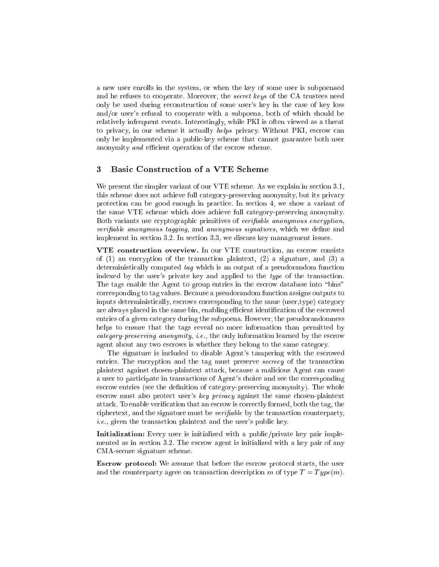a new user enrolls in the system, or when the key of some user is subpoenaed and he refuses to cooperate. Moreover, the *secret keys* of the CA trustees need only be used during re
onstru
tion of some user's key in the ase of key loss and/or user's refusal to cooperate with a subpoena, both of which should be relatively infrequent events. Interestingly, while PKI is often viewed as a threat to privacy, in our scheme it actually *helps* privacy. Without PKI, escrow can only be implemented via a publi
-key s
heme that annot guarantee both user anonymity and efficient operation of the escrow scheme.

# 3 Basi Constru
tion of <sup>a</sup> VTE S
heme

We present the simpler variant of our VTE scheme. As we explain in section 3.1, this scheme does not achieve full category-preserving anonymity, but its privacy protection can be good enough in practice. In section 4, we show a variant of the same VTE s
heme whi
h does a
hieve full ategory-preserving anonymity. Both variants use cryptographic primitives of verifiable anonymous encryption, verifiable anonymous tagging, and anonymous signatures, which we define and implement in section 3.2. In section 3.3, we discuss key management issues.

VTE onstru
tion overview. In our VTE onstru
tion, an es
row onsists of  $(1)$  an encryption of the transaction plaintext,  $(2)$  a signature, and  $(3)$  a deterministically computed tag which is an output of a pseudorandom function indexed by the user's private key and applied to the *type* of the transaction. The tags enable the Agent to group entries in the escrow database into "bins" orresponding to tag values. Be
ause a pseudorandom fun
tion assigns outputs to inputs deterministically, escrows corresponding to the same  $\langle$ user,type $\rangle$  category are always placed in the same bin, enabling efficient identification of the escrowed entries of a given category during the subpoena. However, the pseudorandomness helps to ensure that the tags reveal no more information than permitted by category-preserving anonymity, *i.e.*, the only information learned by the escrow agent about any two es
rows is whether they belong to the same ategory.

The signature is in
luded to disable Agent's tampering with the es
rowed entries. The encryption and the tag must preserve secrecy of the transaction plaintext against hosen-plaintext atta
k, be
ause a mali
ious Agent an ause a user to participate in transactions of Agent's choice and see the corresponding escrow entries (see the definition of category-preserving anonymity). The whole escrow must also protect user's key privacy against the same chosen-plaintext atta
k. To enable veri
ation that an es
row is orre
tly formed, both the tag, the ciphertext, and the signature must be  $verifiable$  by the transaction counterparty,  $i.e.,$  given the transaction plaintext and the user's public key.

**Initialization:** Every user is initialized with a public/private key pair implemented as in section 3.2. The escrow agent is initialized with a key pair of any CMA-se
ure signature s
heme.

Escrow protocol: We assume that before the escrow protocol starts, the user and the counterparty agree on transaction description m of type  $T = Type(m)$ .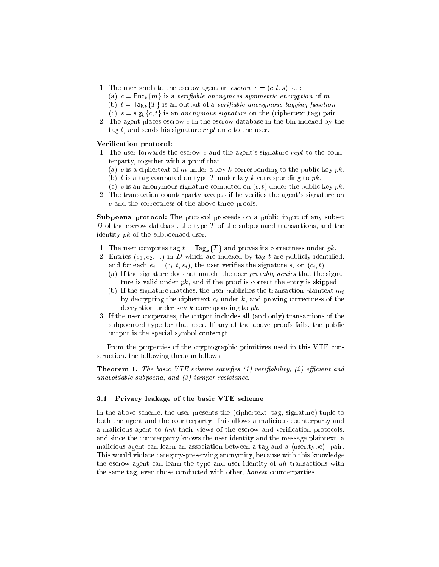- 1. The user sends to the escrow agent an  $\textit{escrow} \ e = (c, t, s) \text{ s.t.}$ 
	- (a)  $c = \text{Enc}_k\{m\}$  is a verifiable anonymous symmetric encryption of m.
	- (b)  $t = \text{Tag}_k \{T\}$  is an output of a verifiable anonymous tagging function.
	- (c)  $s = \text{sig}_k \{c, t\}$  is an anonymous signature on the (ciphertext,tag) pair.
- 2. The agent places escrow  $e$  in the escrow database in the bin indexed by the tag t, and sends his signature rcpt on  $e$  to the user.

# Verification protocol:

- 1. The user forwards the escrow  $e$  and the agent's signature  $rcpt$  to the counterparty, together with a proof that:
	- (a) c is a ciphertext of m under a key k corresponding to the public key pk.
	- (b) t is a tag computed on type T under key k corresponding to  $pk$ .
	- (c) s is an anonymous signature computed on  $(c, t)$  under the public key pk.
- 2. The transaction counterparty accepts if he verifies the agent's signature on e and the orre
tness of the above three proofs.

**Subpoena protocol:** The protocol proceeds on a public input of any subset D of the escrow database, the type T of the subpoenaed transactions, and the identity  $pk$  of the subpoenaed user:

- 1. The user computes tag  $t = \text{Tag}_k\{T\}$  and proves its correctness under pk.
- 2. Entries  $(e_1, e_2, ...)$  in D which are indexed by tag t are publicly identified, and for each  $e_i = (c_i, t, s_i)$ , the user verifies the signature  $s_i$  on  $(c_i, t)$ .
	- (a) If the signature does not match, the user *provably denies* that the signature is valid under  $pk$ , and if the proof is correct the entry is skipped.
	- (b) If the signature matches, the user publishes the transaction plaintext  $m_i$ by decrypting the ciphertext  $c_i$  under k, and proving correctness of the decryption under key k corresponding to pk.
- 3. If the user ooperates, the output in
ludes all (and only) transa
tions of the subpoenaed type for that user. If any of the above proofs fails, the publi output is the spe
ial symbol ontempt.

From the properties of the cryptographic primitives used in this VTE construction, the following theorem follows:

**Theorem 1.** The basic VTE scheme satisfies  $(1)$  verifiability,  $(2)$  efficient and unavoidable subpoena, and (3) tamper resistance.

### 3.1 Privacy leakage of the basic VTE scheme

In the above scheme, the user presents the (ciphertext, tag, signature) tuple to both the agent and the ounterparty. This allows a mali
ious ounterparty and a malicious agent to *link* their views of the escrow and verification protocols, and sin
e the ounterparty knows the user identity and the message plaintext, a malicious agent can learn an association between a tag and a (user,type) pair. This would violate ategory-preserving anonymity, be
ause with this knowledge the escrow agent can learn the type and user identity of all transactions with the same tag, even those conducted with other, *honest* counterparties.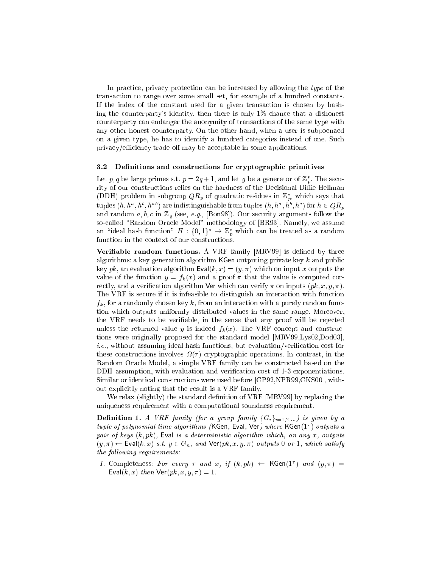In practice, privacy protection can be increased by allowing the type of the transa
tion to range over some small set, for example of a hundred onstants. If the index of the onstant used for a given transa
tion is hosen by hashing the counterparty's identity, then there is only  $1\%$  chance that a dishonest ounterparty an endanger the anonymity of transa
tions of the same type with any other honest ounterparty. On the other hand, when a user is subpoenaed on a given type, he has to identify a hundred categories instead of one. Such privacy/efficiency trade-off may be acceptable in some applications.

#### Definitions and constructions for cryptographic primitives  $3.2$

Let  $p, q$  be large primes s.t.  $p = 2q + 1$ , and let g be a generator of  $\mathbb{Z}_p$ . The security of our constructions relies on the hardness of the Decisional Diffie-Hellman (DDH) problem in subgroup  $\mathcal{Q}(\mathbb{A}_p)$  of quadratic residues in  $\mathbb{Z}_p$ , which says that tuples  $(n, n^*, n^*, n^{**})$  are indistinguishable from tuples  $(n, n^*, n^*, n^*)$  for  $n \in Q\Lambda_p$ and random  $a, b, c$  in  $\mathbb{Z}_q$  (see, e.g., [Bon98]). Our security arguments follow the so-called "Random Oracle Model" methodology of [BR93]. Namely, we assume an deal hash function  $H : \{0,1\} \rightarrow \mathbb{Z}_p$  which can be treated as a random function in the context of our constructions.

Verifiable random functions. A VRF family [MRV99] is defined by three algorithms: a key generation algorithm  $KGen$  outputing private key k and public key pk, an evaluation algorithm  $Eval(k, x) = (y, \pi)$  which on input x outputs the value of the function  $y = f_k(x)$  and a proof  $\pi$  that the value is computed correctly, and a verification algorithm Ver which can verify  $\pi$  on inputs  $(pk, x, y, \pi)$ . The VRF is se
ure if it is infeasible to distinguish an intera
tion with fun
tion  $f_k$ , for a randomly chosen key k, from an interaction with a purely random function whi
h outputs uniformly distributed values in the same range. Moreover, the VRF needs to be verifiable, in the sense that any proof will be rejected unless the returned value y is indeed  $f_k(x)$ . The VRF concept and constructions were originally proposed for the standard model [MRV99,Lys02,Dod03],  $i.e.,$  without assuming ideal hash functions, but evaluation/verification cost for these onstru
tions involves ( ) ryptographi operations. In ontrast, in the Random Ora
le Model, a simple VRF family an be onstru
ted based on the DDH assumption, with evaluation and verification cost of 1-3 exponentiations. Similar or identical constructions were used before [CP92,NPR99,CKS00], without expli
itly noting that the result is a VRF family.

We relax (slightly) the standard definition of VRF [MRV99] by replacing the uniqueness requirement with a omputational soundness requirement.

**Definition 1.** A VRF family (for a group family  $\{G_i\}_{i=1,2,...}$ ) is given by a tuple of polynomial-time algorithms (KGen, Eval, Ver) where KGen(1) culputs a pair of keys  $(k, pk)$ , Eval is a deterministic algorithm which, on any x, outputs  $(y, \pi) \leftarrow$  Eval $(k, x)$  s.t.  $y \in G_n$ , and  $\mathsf{Ver}(pk, x, y, \pi)$  outputs 0 or 1, which satisfy the following requirements:

1. Completeness: For every  $\tau$  and  $x$ ,  $\eta$   $(\kappa, p\kappa)$   $\leftarrow$  NGen(1) and  $(y, \pi)$   $\equiv$ Eval $(k, x)$  then  $\text{Ver}(pk, x, y, \pi) = 1$ .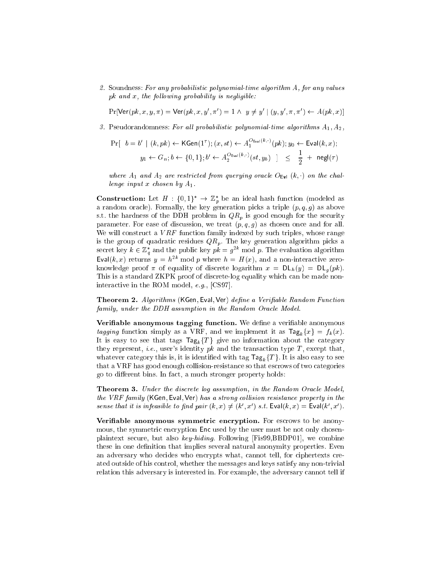2. Soundness: For any probabilistic polynomial-time algorithm  $A$ , for any values pk and  $x$ , the following probability is negligible:

 $\Pr[\text{Ver}(pk, x, y, \pi) = \text{Ver}(pk, x, y, \pi)] = 1 \land y \neq y \land (y, y, \pi, \pi) \leftarrow A(pk, x).$ 

3. Pseudorandomness: For all probabilistic polynomial-time algorithms  $A_1, A_2,$ 

$$
\begin{aligned} \Pr[ \quad b = b' \mid (k, pk) \leftarrow \mathsf{KGen}(1^{\tau}); (x, st) \leftarrow A_1^{O_{\text{Eval}}(k, \cdot)}(pk); y_0 \leftarrow \text{Eval}(k, x); \\ y_1 \leftarrow G_n; b \leftarrow \{0, 1\}; b' \leftarrow A_2^{O_{\text{Eval}}(k, \cdot)}(st, y_b) \quad ] \quad \leq \quad \frac{1}{2} \ + \ \text{negl}(\tau) \end{aligned}
$$

where  $A_1$  and  $A_2$  are restricted from querying oracle  $O_{Eval}(k, \cdot)$  on the challenge input x chosen by  $A_1$ .

**Construction:** Let  $H : \{0,1\} \rightarrow \mathbb{Z}_p$  be an ideal hash function (modeled as a random oracle). Formally, the key generation picks a triple  $(p, q, g)$  as above s.t. the hardness of the DDH problem in  $QR_p$  is good enough for the security parameter. For ease of discussion, we treat  $(p, q, g)$  as chosen once and for all. We will construct a  $VRF$  function family indexed by such triples, whose range is the group of quadratic residues  $QR_p$ . The key generation algorithm picks a secret key  $\kappa \in \mathbb{Z}_q$  and the public key  $p\kappa = g^{-\kappa}$  mod p. The evaluation algorithm Eval(k, x) returns  $y = h^{2k}$  mod p where  $h = H(x)$ , and a non-interactive zeroknowledge proof  $\pi$  of equality of discrete logarithm  $x = DL_h(y) = DL_q(pk)$ . This is a standard ZKPK proof of discrete-log equality which can be made noninteractive in the ROM model,  $e.g.,$  [CS97].

**Theorem 2.** Algorithms (KGen, Eval, Ver) define a Verifiable Random Function family, under the DDH assumption in the Random Oracle Model.

Verifiable anonymous tagging function. We define a verifiable anonymous tagging function simply as a VRF, and we implement it as  $\text{Tag}_k\{x\} = f_k(x)$ . It is easy to see that tags  $\text{Tag}_k\{T\}$  give no information about the category they represent, *i.e.*, user's identity  $pk$  and the transaction type  $T$ , except that, whatever category this is, it is identified with tag  $\text{Tag}_k\{T\}$ . It is also easy to see that a VRF has good enough collision-resistance so that escrows of two categories go to different bins. In fact, a much stronger property holds:

**Theorem 3.** Under the discrete log assumption, in the Random Oracle Model, the VRF family (KGen, Eval, Ver) has a strong collision resistance property in the sense that it is infeasible to find pair  $(k, x) \neq (k, x)$  is t. Eval(k, x) = Eval(k, x).

Verifiable anonymous symmetric encryption. For escrows to be anonymous, the symmetric encryption Enc used by the user must be not only chosenplaintext secure, but also key-hiding. Following [Fis99,BBDP01], we combine these in one definition that implies several natural anonymity properties. Even an adversary who decides who encrypts what, cannot tell, for ciphertexts created outside of his ontrol, whether the messages and keys satisfy any non-trivial relation this adversary is interested in. For example, the adversary cannot tell if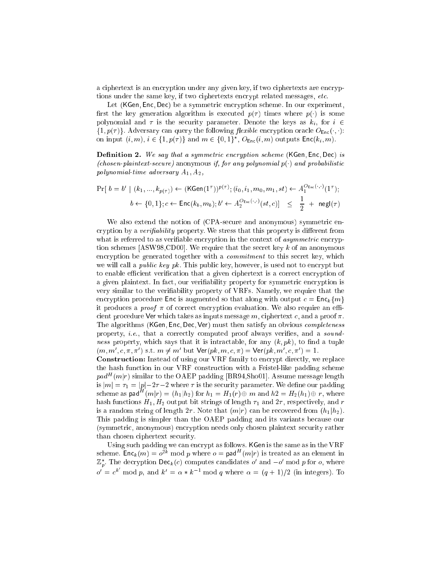a ciphertext is an encryption under any given key, if two ciphertexts are encryptions under the same key, if two ciphertexts encrypt related messages, *etc.* 

Let (KGen, Enc, Dec) be a symmetric encryption scheme. In our experiment, first the key generation algorithm is executed  $p(\tau)$  times where  $p(\cdot)$  is some polynomial and  $\tau$  is the security parameter. Denote the keys as  $k_i$ , for  $i \in$  $\{1, p(\tau)\}\$ . Adversary can query the following *flexible* encryption oracle  $O_{\text{Enc}}(\cdot, \cdot)$ : on input  $(i, m), i \in \{1, p(\tau)\}\$  and  $m \in \{0, 1\}$ ,  $O_{Enc}(i, m)$  outputs  $Enc(\kappa_i, m)$ .

**Definition 2.** We say that a symmetric encryption scheme (KGen, Enc, Dec) is (chosen-plaintext-secure) anonymous if, for any polynomial  $p(\cdot)$  and probabilistic polynomial-time adversary  $A_1, A_2,$ 

$$
\Pr[\ b = b' \mid (k_1, ..., k_{p(\tau)}) \leftarrow (\text{KGen}(1^{\tau}))^{p(\tau)}; (i_0, i_1, m_0, m_1, st) \leftarrow A_1^{O_{\text{Enc}}(\cdot, \cdot)}(1^{\tau});
$$
\n
$$
b \leftarrow \{0, 1\}; c \leftarrow \text{Enc}(k_b, m_b); b' \leftarrow A_2^{O_{\text{Enc}}(\cdot, \cdot)}(st, c)] \leq \frac{1}{2} + \text{negl}(\tau)
$$

We also extend the notion of (CPA-secure and anonymous) symmetric encryption by a verifiability property. We stress that this property is different from what is referred to as verifiable encryption in the context of *asymmetric* encryption schemes [ASW98,CD00]. We require that the secret key  $k$  of an anonymous encryption be generated together with a *commitment* to this secret key, which we will call a *public key pk*. This public key, however, is used not to encrypt but to enable efficient verification that a given ciphertext is a correct encryption of a given plaintext. In fact, our verifiability property for symmetric encryption is very similar to the veriability property of VRFs. Namely, we require that the encryption procedure Enc is augmented so that along with output  $c = \text{Enc}_k\{m\}$ it produces a *proof*  $\pi$  of correct encryption evaluation. We also require an efficient procedure Ver which takes as inputs message  $m$ , ciphertext c, and a proof  $\pi$ . The algorithms (KGen, Enc, Dec, Ver) must then satisfy an obvious *completeness* property, *i.e.*, that a correctly computed proof always verifies, and a *sound*ness property, which says that it is intractable, for any  $(k, pk)$ , to find a tuple  $(m, m, c, \pi, \pi)$  s.t.  $m \neq m$  but ver(pk,  $m, c, \pi$ ) = ver(pk,  $m, c, \pi$ ) = 1.

**Construction:** Instead of using our VRF family to encrypt directly, we replace the hash fun
tion in our VRF onstru
tion with a Feistel-like padding s
heme  $paa^-$  ( $m_1r$ ) similar to the OAEP padding [BR94,Sho01]. Assume message length is  $|m| = r_1 = |p|-2\tau-2$  where  $\tau$  is the security parameter. We define our padding scheme as pad  $(m|r) = (h_1 | h_2)$  for  $h_1 = H_1(r) \oplus m$  and  $h2 = H_2(h_1) \oplus r,$  where hash functions  $H_1, H_2$  output bit strings of length  $\tau_1$  and  $2\tau$ , respectively, and r is a random string of length  $2\tau$ . Note that  $(m|r)$  can be recovered from  $(h_1|h_2)$ . This padding is simpler than the OAEP padding and its variants be
ause our (symmetri
, anonymous) en
ryption needs only hosen plaintext se
urity rather than hosen iphertext se
urity.

Using such padding we can encrypt as follows. KGen is the same as in the VRF scheme.  ${\tt Enc}_k(m) = o^{2n} \bmod{p}$  where  $o = {\sf paq}^-(m|r)$  is treated as an element in  $\mathbb{Z}_p$ . The decryption Dec<sub>k</sub> (c) computes candidates  $o$  and  $-o$  mod p for  $o$ , where  $o' = c^k \mod p$ , and  $k' = \alpha * k^{-1} \mod q$  where  $\alpha = (q + 1)/2$  (in integers). To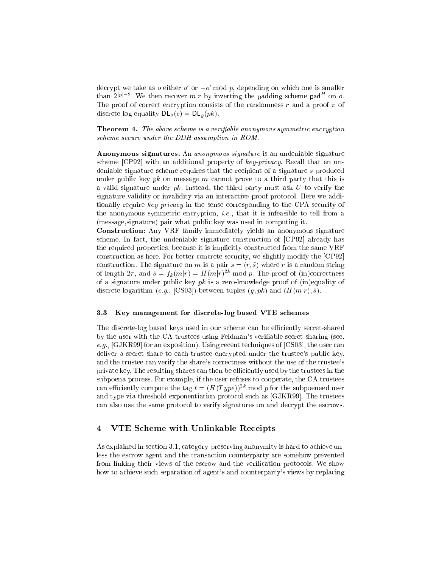$\det$  we take as  $o$  either  $o$  or  $-o$  mod  $p$ , depending on which one is smaller than  $2^{(p)}$  . We then recover  $m|r$  by inverting the padding scheme pad on  $o$ . The proof of correct encryption consists of the randomness r and a proof  $\pi$  of discrete-log equality  $DL_o(c) = DL_q(pk)$ .

Theorem 4. The above scheme is a verifiable anonymous symmetric encryption scheme secure under the DDH assumption in ROM.

Anonymous signatures. An anonymous signature is an undeniable signature scheme  $[CP92]$  with an additional property of key-privacy. Recall that an undeniable signature scheme requires that the recipient of a signature s produced under public key *pk* on message *m* cannot prove to a third party that this is a valid signature under  $pk$ . Instead, the third party must ask  $U$  to verify the signature validity or invalidity via an interactive proof protocol. Here we additionally require key privacy in the sense corresponding to the CPA-security of the anonymous symmetric encryption, *i.e.*, that it is infeasible to tell from a (message,signature) pair what publi key was used in omputing it.

Constru
tion: Any VRF family immediately yields an anonymous signature scheme. In fact, the undeniable signature construction of [CP92] already has the required properties, because it is implicitly constructed from the same VRF construction as here. For better concrete security, we slightly modify the [CP92] construction. The signature on m is a pair  $s = (r, \tilde{s})$  where r is a random string of length  $2\tau$ , and  $s = f_k(m|\tau) = H(m|r)^{-\alpha}$  mod p. The proof of (in)correctness of a signature under public key  $pk$  is a zero-knowledge proof of (in)equality of discrete logarithm (e.g., [CS03]) between tuples  $(q, pk)$  and  $(H(m|r), \tilde{s})$ .

# 3.3 Key management for dis
rete-log based VTE s
hemes

The discrete-log based keys used in our scheme can be efficiently secret-shared by the user with the CA trustees using Feldman's verifiable secret sharing (see,  $e.g.,$  [GJKR99] for an exposition). Using recent techniques of [CS03], the user can deliver a secret-share to each trustee encrypted under the trustee's public key, and the trustee can verify the share's correctness without the use of the trustee's private key. The resulting shares can then be efficiently used by the trustees in the subpoena process. For example, if the user refuses to cooperate, the CA trustees can efficiently compute the tag  $t = (H(Type))^{2k}$  mod p for the subpoenaed user and type via threshold exponentiation protocol such as [GJKR99]. The trustees can also use the same protocol to verify signatures on and decrypt the escrows.

# 4 VTE S
heme with Unlinkable Re
eipts

As explained in section 3.1, category-preserving anonymity is hard to achieve unless the es
row agent and the transa
tion ounterparty are somehow prevented from linking their views of the escrow and the verification protocols. We show how to achieve such separation of agent's and counterparty's views by replacing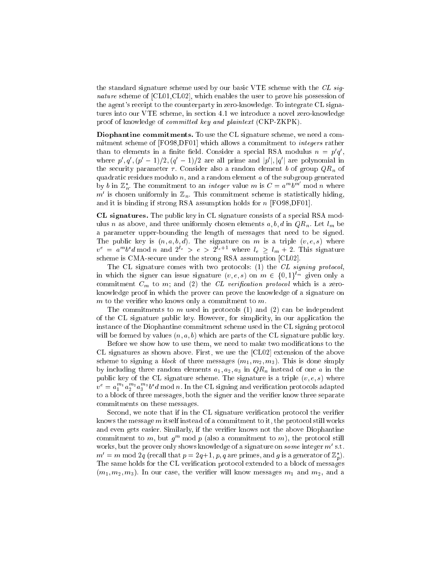the standard signature scheme used by our basic VTE scheme with the CL signature scheme of  $\text{[CL01}, \text{CL02}]$ , which enables the user to prove his possession of the agent's re
eipt to the ounterparty in zero-knowledge. To integrate CL signatures into our VTE s
heme, in se
tion 4.1 we introdu
e a novel zero-knowledge proof of knowledge of *committed key and plaintext* (CKP-ZKPK).

Diophantine commitments. To use the CL signature scheme, we need a commitment scheme of [FO98,DF01] which allows a commitment to *integers* rather than to elements in a limite field. Consider a special  $RSA$  modulus  $n = p \, q$ , where  $p_1, q_2, (p_1-1)/2, (q_2-1)/2$  are all prime and  $|p_1|, |q_2|$  are polynomial in the security parameter  $\tau$ . Consider also a random element b of group  $QR_n$  of quadratic residues modulo  $n$ , and a random element  $a$  of the subgroup generated by b in  $\mathbb{Z}_n^*$ . The commitment to an *integer* value m is  $C = a^m b^m \mod n$  where m is chosen uniformly in  $\mathbb{Z}_n$ . This commitment scheme is statistically muing, and it is binding if strong RSA assumption holds for  $n$  [FO98, DF01].

CL signatures. The public key in CL signature consists of a special RSA modulus *n* as above, and three uniformly chosen elements  $a, b, d$  in  $QR_n$ . Let  $l_m$  be a parameter upper-bounding the length of messages that need to be signed. The public key is  $(n, a, b, d)$ . The signature on m is a triple  $(v, e, s)$  where  $v^2 = a^T v^2 a$  mod n and  $2^e > e > 2^e$ . Where  $l_e \geq l_m + 2$ . This signature scheme is CMA-secure under the strong RSA assumption [CL02].

The CL signature comes with two protocols: (1) the CL signing protocol, in which the signer can issue signature  $(v, e, s)$  on  $m \in \{0, 1\}^{l_m}$  given only a commitment  $C_m$  to m; and (2) the CL verification protocol which is a zeroknowledge proof in whi
h the prover an prove the knowledge of a signature on  $m$  to the verifier who knows only a commitment to  $m$ .

The commitments to m used in protocols  $(1)$  and  $(2)$  can be independent of the CL signature public key. However, for simplicity, in our application the instan
e of the Diophantine ommitment s
heme used in the CL signing proto
ol will be formed by values  $(n, a, b)$  which are parts of the CL signature public key.

Before we show how to use them, we need to make two modifications to the CL signatures as shown above. First, we use the  $\lbrack CL02 \rbrack$  extension of the above scheme to signing a *block* of three messages  $(m_1, m_2, m_3)$ . This is done simply by including three random elements  $a_1, a_2, a_3$  in  $QR_n$  instead of one a in the public key of the CL signature scheme. The signature is a triple  $(v, e, s)$  where  $v^* = a_1^{\; +} a_2^{\; +} a_3^{\; -} v^* a$  mod n. In the CL signing and verification protocols adapted to a block of three messages, both the signer and the verifier know three separate ommitments on these messages.

Second, we note that if in the CL signature verification protocol the verifier knows the message  $m$  itself instead of a commitment to it, the protocol still works and even gets easier. Similarly, if the verifier knows not the above Diophantine commitment to m, but  $g^m$  mod p (also a commitment to m), the protocol still works, but the prover only shows knowledge of a signature on *some* integer *m* s.t.  $m = m \bmod 2q$  (recall that  $p = 2q+1, p, q$  are primes, and g is a generator of  $\mathbb{Z}_p$ ). The same holds for the CL verification protocol extended to a block of messages  $(m_1, m_2, m_3)$ . In our case, the verifier will know messages  $m_1$  and  $m_2$ , and a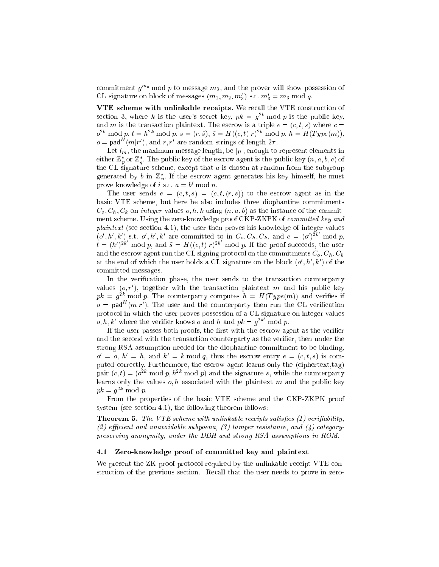commitment  $g^{m_3}$  mod p to message  $m_3$ , and the prover will show possession of CL signature on block of messages  $(m_1, m_2, m_3)$  s.t.  $m_3 = m_3$  mod q.

VTE scheme with unlinkable receipts. We recall the VTE construction of section 3, where k is the user's secret key,  $pk = q^{2k} \mod p$  is the public key, and m is the transaction plaintext. The escrow is a triple  $e = (c, t, s)$  where  $c =$  $v^{2k}$  mod p,  $t = h^{2k}$  mod p,  $s = (r, s), s = H((c, t)|r)^{2k}$  mod p,  $h = H(T y p e(m)),$  $o =$  pad  $(m|r)$ , and r, r are random strings of length  $2\tau$ .

Let  $l_m$ , the maximum message length, be  $|p|$ , enough to represent elements in either  $\mathbb{Z}_p$  or  $\mathbb{Z}_q$ . The public key of the escrow agent is the public key  $(n, a, b, c)$  of the CL signature scheme, except that  $a$  is chosen at random from the subgroup generated by  $\theta$  in  $\mathbb{Z}_n$ . If the escrow agent generates his key himself, he must prove knowledge of  $i$  s.t.  $a = v$  mod  $n$ .

The user sends  $e = (c, t, s) = (c, t, (r, \tilde{s}))$  to the escrow agent as in the basi VTE s
heme, but here he also in
ludes three diophantine ommitments  $C_q, C_h, C_k$  on *integer* values  $o, h, k$  using  $(n, a, b)$  as the instance of the commitment scheme. Using the zero-knowledge proof CKP-ZKPK of *committed key and* plaintext (see section 4.1), the user then proves his knowledge of integer values  $(\rho', h', k')$  s.t.  $\sigma', h', k'$  are committed to in  $C_{\rho}, C_h, C_k$ , and  $c = (\rho')^{2k} \mod p$ ,  $t = (h')^{2k} \mod p$ , and  $\tilde{s} = H((c, t)|r)^{2k} \mod p$ . If the proof succeeds, the user and the escrow agent run the CL signing protocol on the commitments  $C_o$ ,  $C_h$ ,  $C_k$ at the end of which the user holds a  $\cup$  isignature on the block  $(o, n, \kappa)$  of the ommitted messages.

In the verification phase, the user sends to the transaction counterparty values  $(0, r)$ , together with the transaction plaintext  $m$  and his public key  $p\kappa = q$  and p. The counterparty computes  $n = H(T y p e(m))$  and vermes if  $o =$  pad  $(m|r)$ . The user and the counterparty then run the CL verification proto
ol in whi
h the user proves possession of a CL signature on integer values o, h, k' where the verifier knows o and h and  $pk = q^{2k} \mod p$ .

If the user passes both proofs, the first with the escrow agent as the verifier and the second with the transaction counterparty as the verifier, then under the strong RSA assumption needed for the diophantine ommitment to be binding,  $\sigma = \sigma, \; n_{\parallel} = n$ , and  $\kappa_{\parallel} = \kappa$  mod q, thus the escrow entry  $e = (c, i, s)$  is computed correctly. Furthermore, the escrow agent learns only the (ciphertext,tag) pair  $(c, t) = (o^{\perp} \mod p, n^{\perp} \mod p)$  and the signature s, while the counterparty learns only the values  $o, h$  associated with the plaintext m and the public key  $p\kappa = q^{-1}$  mod p.

From the properties of the basi VTE s
heme and the CKP-ZKPK proof system (see se
tion 4.1), the following theorem follows:

**Theorem 5.** The VTE scheme with unlinkable receipts satisfies  $(1)$  verifiability, (2) efficient and unavoidable subpoena, (3) tamper resistance, and  $(4)$  categorypreserving anonymity, under the DDH and strong RSA assumptions in ROM.

# 4.1 Zero-knowledge proof of ommitted key and plaintext

We present the ZK proof protocol required by the unlinkable-receipt VTE construction of the previous section. Recall that the user needs to prove in zero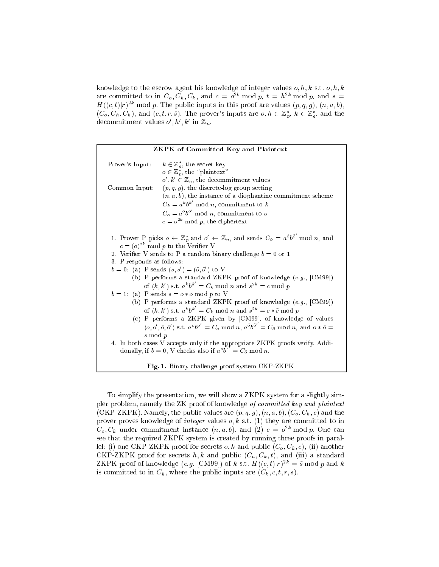knowledge to the escrow agent his knowledge of integer values  $o, h, k$  s.t.  $o, h, k$ are committed to in  $C_o, C_h, C_k$ , and  $c = o^{-\alpha}$  mod  $p$ ,  $t = h^{-\alpha}$  mod  $p$ , and  $s =$  $H((c, t)|T)$  inou p. The public inputs in this proof are values  $(p, q, g)$ ,  $(n, a, b)$ ,  $(C_o, C_h, C_k)$ , and  $(c, t, r, \tilde{s})$ . The prover's inputs are  $o, h \in \mathbb{Z}_p^*, k \in \mathbb{Z}_q^*$ , and the decommitment values  $o, n, \kappa$  in  $\mathbb{Z}_n$ .

| <b>ZKPK</b> of Committed Key and Plaintext                                                                                                                            |                                                                                                                                                                       |
|-----------------------------------------------------------------------------------------------------------------------------------------------------------------------|-----------------------------------------------------------------------------------------------------------------------------------------------------------------------|
| Prover's Input:                                                                                                                                                       | $k \in \mathbb{Z}_q^*$ , the secret key                                                                                                                               |
|                                                                                                                                                                       | $o \in \mathbb{Z}_p^*$ , the "plaintext"                                                                                                                              |
|                                                                                                                                                                       | $o', k' \in \mathbb{Z}_n$ , the decommitment values                                                                                                                   |
| Common Input:                                                                                                                                                         | $(p, q, g)$ , the discrete log group setting                                                                                                                          |
|                                                                                                                                                                       | $(n, a, b)$ , the instance of a diophantine commitment scheme                                                                                                         |
|                                                                                                                                                                       | $C_k = a^k b^{k'} \mod n$ , commitment to k                                                                                                                           |
|                                                                                                                                                                       | $C_o = a^{\circ}b^{\circ'} \mod n$ , commitment to o                                                                                                                  |
|                                                                                                                                                                       | $c = o^{2k} \mod p$ , the ciphertext                                                                                                                                  |
|                                                                                                                                                                       |                                                                                                                                                                       |
| 1. Prover P picks $\tilde{o} \leftarrow \mathbb{Z}_p^*$ and $\tilde{o}' \leftarrow \mathbb{Z}_n$ , and sends $C_{\tilde{o}} = a^{\tilde{o}}b^{\tilde{o}'}$ mod n, and |                                                                                                                                                                       |
|                                                                                                                                                                       | $\tilde{c} = (\tilde{o})^{2k} \text{ mod } p$ to the Verifier V                                                                                                       |
|                                                                                                                                                                       | 2. Verifier V sends to P a random binary challenge $b = 0$ or 1                                                                                                       |
| 3. P responds as follows:                                                                                                                                             |                                                                                                                                                                       |
|                                                                                                                                                                       | $b = 0$ : (a) P sends $(s, s') = (\tilde{o}, \tilde{o}')$ to V                                                                                                        |
|                                                                                                                                                                       | (b) P performs a standard ZKPK proof of knowledge $(e.g., [CM99])$                                                                                                    |
|                                                                                                                                                                       | of $(k, k')$ s.t. $a^k b^{k'} = C_k \mod n$ and $s^{2k} = \tilde{c} \mod p$                                                                                           |
|                                                                                                                                                                       | $b = 1$ : (a) P sends $s = o * \tilde{o} \mod p$ to V                                                                                                                 |
|                                                                                                                                                                       | (b) P performs a standard ZKPK proof of knowledge $(e.g., [CM99])$<br>of $(k, k')$ s.t. $a^k b^{k'} = C_k \text{ mod } n$ and $s^{2k} = c * \tilde{c} \text{ mod } p$ |
|                                                                                                                                                                       | (c) P performs a ZKPK given by [CM99], of knowledge of values                                                                                                         |
|                                                                                                                                                                       | $(o, o', \tilde{o}, \tilde{o}')$ s.t. $a^{\circ}b^{\circ'} = C_o \mod n$ , $a^{\tilde{o}}b^{\tilde{o}'} = C_{\tilde{o}} \mod n$ , and $o * \tilde{o} =$               |
|                                                                                                                                                                       |                                                                                                                                                                       |
| s mod p                                                                                                                                                               |                                                                                                                                                                       |
| 4. In both cases V accepts only if the appropriate ZKPK proofs verify. Addi-<br>tionally, if $b = 0$ , V checks also if $a^s b^{s'} = C_{\tilde{o}} \text{ mod } n$ . |                                                                                                                                                                       |
|                                                                                                                                                                       |                                                                                                                                                                       |
|                                                                                                                                                                       | Fig. 1. Binary challenge proof system CKP-ZKPK                                                                                                                        |

To simplify the presentation, we will show a ZKPK system for a slightly simpler problem, namely the ZK proof of knowledge of committed key and plaintext (CKP-ZKPK). Namely, the public values are  $(p, q, g)$ ,  $(n, a, b)$ ,  $(C_o, C_k, c)$  and the prover proves knowledge of *integer* values  $o, k$  s.t. (1) they are committed to in  $\cup_o, \cup_k$  under commitment instance  $(n, a, v)$ , and  $(z)$   $c = o^{-\alpha}$  mod p. One can see that the required ZKPK system is created by running three proofs in parallel: (i) one CKP-ZKPK proof for secrets  $o, k$  and public  $(C_o, C_k, c)$ , (ii) another CKP-ZKPK proof for secrets  $h, k$  and public  $(C_h, C_k, t)$ , and (iii) a standard LINT IN PROOF OF KNOWLEDGE  $(e, q, |\text{CMYY}|)$  of k s.t.  $H((e, t)|T) = s$  into p and k is committed to in  $C_k$ , where the public inputs are  $(C_k, c, t, r, \tilde{s})$ .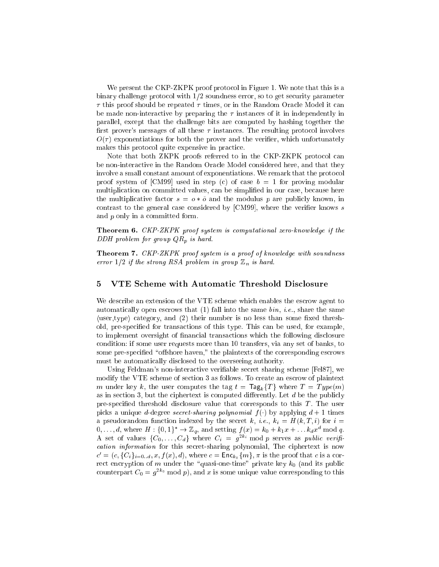We present the CKP-ZKPK proof protocol in Figure 1. We note that this is a binary challenge protocol with  $1/2$  soundness error, so to get security parameter  $\tau$  this proof should be repeated  $\tau$  times, or in the Random Oracle Model it can be made non-interactive by preparing the  $\tau$  instances of it in independently in parallel, ex
ept that the hallenge bits are omputed by hashing together the first prover's messages of all these  $\tau$  instances. The resulting protocol involves  $O(\tau)$  exponentiations for both the prover and the verifier, which unfortunately makes this protocol quite expensive in practice.

Note that both ZKPK proofs referred to in the CKP-ZKPK protocol can be non-interactive in the Random Oracle Model considered here, and that they involve a small constant amount of exponentiations. We remark that the protocol proof system of [CM99] used in step (c) of case  $b = 1$  for proving modular multiplication on committed values, can be simplified in our case, because here the multiplicative factor  $s = \sigma * \tilde{\sigma}$  and the modulus p are publicly known, in contrast to the general case considered by  $\lbrack CM99\rbrack$ , where the verifier knows s and p only in a ommitted form.

**Theorem 6.** CKP-ZKPK proof system is computational zero-knowledge if the DDH problem for group  $QR_p$  is hard.

Theorem 7. CKP-ZKPK proof system is a proof of knowledge with soundness error  $1/2$  if the strong RSA problem in group  $\mathbb{Z}_n$  is hard.

# 5 VTE S
heme with Automati Threshold Dis
losure

We describe an extension of the VTE scheme which enables the escrow agent to automatically open escrows that  $(1)$  fall into the same  $\text{bin}, \text{ i.e., share the same}$  $\langle$ user,type $\rangle$  category, and  $(2)$  their number is no less than some fixed threshold, pre-specified for transactions of this type. This can be used, for example, to implement oversight of financial transactions which the following disclosure ondition: if some user requests more than 10 transfers, via any set of banks, to some pre-specified "offshore haven," the plaintexts of the corresponding escrows must be automatically disclosed to the overseeing authority.

Using Feldman's non-interactive verifiable secret sharing scheme [Fel87], we modify the VTE s
heme of se
tion 3 as follows. To reate an es
row of plaintext m under key k, the user computes the tag  $t = \text{Tag}_k\{T\}$  where  $T = Type(m)$ as in section 3, but the ciphertext is computed differently. Let  $d$  be the publicly pre-spe
ied threshold dis
losure value that orresponds to this T . The user picks a unique *d*-degree *secret-sharing polynomial*  $f(.)$  by applying  $d + 1$  times a pseudorandom function indexed by the secret k, i.e.,  $k_i = H(k, T, i)$  for  $i =$  $0, \ldots, a$ , where  $\pi$ :  $\{0, 1\}$   $\rightarrow \mathbb{Z}_q$ , and setting  $f(x) = \kappa_0 + \kappa_1 x + \ldots \kappa_d x^2$  mod q. A set of values  $\{C_0,\ldots,C_d\}$  where  $C_i = g^{-\alpha_i}$  mod p serves as public verification information for this secret-sharing polynomial, The ciphertext is now  $c = (c, \{C_i\}_{i=0...d}^T, x, J(x), a),$  where  $c = \text{Enc}_{k_0\{m\}}, \pi$  is the proof that c is a correct encryption of m under the "quasi-one-time" private key  $k_0$  (and its public counterpart  $C_0 = g^{-\infty}$  mod p), and x is some unique value corresponding to this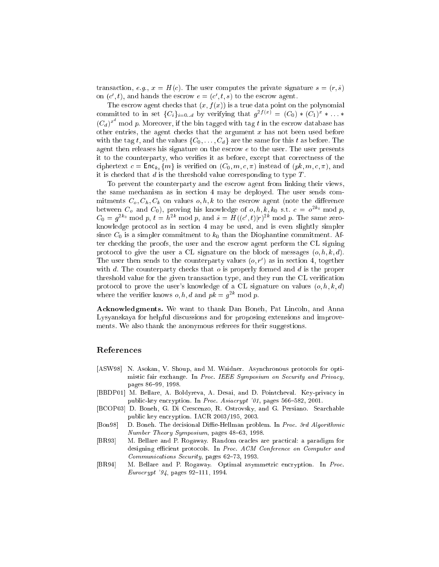transaction, e.g.,  $x = H(c)$ . The user computes the private signature  $s = (r, \tilde{s})$ on  $(c_1, t)$ , and hands the escrow  $e = (c_1, t, s)$  to the escrow agent.

The escrow agent checks that  $(x, f(x))$  is a true data point on the polynomial committed to in set  $\{C_i\}_{i=0...d}$  by verifying that  $g^{-\sqrt{2}} \equiv (C_0) * (C_1)^+ * \ldots *$  $(C_d)^{x^-}$  mod p. Moreover, if the bin tagged with tag t in the escrow database has other entries, the agent checks that the argument  $x$  has not been used before with the tag t, and the values  $\{C_0, \ldots, C_d\}$  are the same for this t as before. The agent then releases his signature on the escrow  $e$  to the user. The user presents it to the counterparty, who verifies it as before, except that correctness of the ciphertext  $c = \textsf{Enc}_{k_0}\{m\}$  is verified on  $(C_0, m, c, \pi)$  instead of  $(pk, m, c, \pi)$ , and it is checked that  $d$  is the threshold value corresponding to type  $T$ .

To prevent the ounterparty and the es
row agent from linking their views, the same me
hanism as in se
tion 4 may be deployed. The user sends ommitments  $C_o, C_h, C_k$  on values  $o, h, k$  to the escrow agent (note the difference between  $C_0$  and  $C_0$ ), proving his knowledge of  $o, n, \kappa, \kappa_0$  s.t.  $c = o^{-\kappa_0}$ mod p, and p, and p, and p, and p, and p, and p, and p, and p, and p, and p, and p, and p, and p, and p, and p, and p, and p, and p, and p, and p, and p, and p, and p, and p, and p, and p, and p, and p, and p, and p, and p  $C_0 = g^{2\alpha}$  mod p,  $t = h^{2\alpha}$  mod p, and  $s = H((c, t)|t)^{2\alpha}$  mod p. The same zeroknowledge proto
ol as in se
tion 4 may be used, and is even slightly simpler since  $C_0$  is a simpler commitment to  $k_0$  than the Diophantine commitment. After he
king the proofs, the user and the es
row agent perform the CL signing protocol to give the user a CL signature on the block of messages  $(o, h, k, d)$ . I he user then sends to the counterparty values  $(0, r)$  as in section 4, together with  $d$ . The counterparty checks that  $o$  is properly formed and  $d$  is the proper threshold value for the given transaction type, and they run the CL verification protocol to prove the user's knowledge of a CL signature on values  $(o, h, k, d)$ where the verifier knows  $\rho$ ,  $n$ ,  $a$  and  $p\kappa = q^{-\kappa}$  mod p.

Acknowledgments. We want to thank Dan Boneh, Pat Lincoln, and Anna Lysyanskaya for helpful discussions and for proposing extensions and improvements. We also thank the anonymous referees for their suggestions.

# Referen
es

- [ASW98] N. Asokan, V. Shoup, and M. Waidner. Asynchronous protocols for optimistic fair exchange. In Proc. IEEE Symposium on Security and Privacy, pages 86-99, 1998.
- [BBDP01] M. Bellare, A. Boldyreva, A. Desai, and D. Pointcheval. Key-privacy in public-key encryption. In Proc. Asiacrypt '01, pages 566-582, 2001.
- [BCOP03] D. Boneh, G. Di Crescenzo, R. Ostrovsky, and G. Persiano. Searchable publi key en
ryption. IACR 2003/195, 2003.
- [Bon98] D. Boneh. The decisional Diffie-Hellman problem. In Proc. 3rd Algorithmic Number Theory Symposium, pages  $48-63$ , 1998.
- [BR93] M. Bellare and P. Rogaway. Random oracles are practical: a paradigm for designing efficient protocols. In Proc. ACM Conference on Computer and Communications Security, pages 62-73, 1993.
- [BR94] M. Bellare and P. Rogaway. Optimal asymmetric encryption. In Proc.  $European '94$ , pages 92-111, 1994.